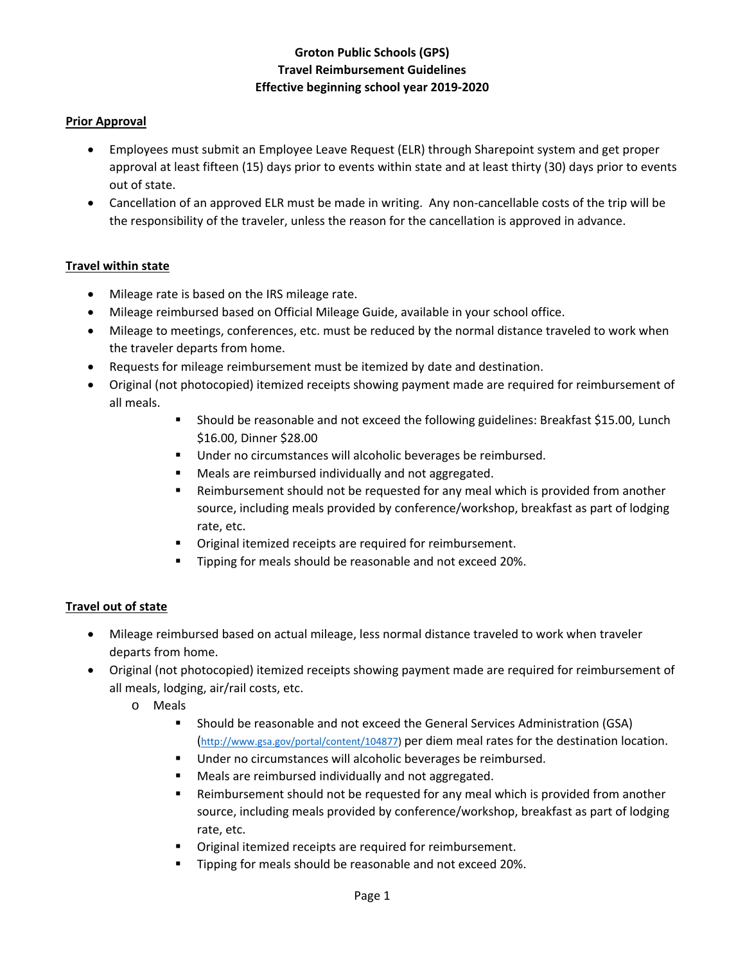# **Groton Public Schools (GPS) Travel Reimbursement Guidelines Effective beginning school year 2019‐2020**

### **Prior Approval**

- Employees must submit an Employee Leave Request (ELR) through Sharepoint system and get proper approval at least fifteen (15) days prior to events within state and at least thirty (30) days prior to events out of state.
- Cancellation of an approved ELR must be made in writing. Any non-cancellable costs of the trip will be the responsibility of the traveler, unless the reason for the cancellation is approved in advance.

### **Travel within state**

- Mileage rate is based on the IRS mileage rate.
- Mileage reimbursed based on Official Mileage Guide, available in your school office.
- Mileage to meetings, conferences, etc. must be reduced by the normal distance traveled to work when the traveler departs from home.
- Requests for mileage reimbursement must be itemized by date and destination.
- Original (not photocopied) itemized receipts showing payment made are required for reimbursement of all meals.
	- Should be reasonable and not exceed the following guidelines: Breakfast \$15.00, Lunch \$16.00, Dinner \$28.00
	- **Under no circumstances will alcoholic beverages be reimbursed.**
	- **Meals are reimbursed individually and not aggregated.**
	- Reimbursement should not be requested for any meal which is provided from another source, including meals provided by conference/workshop, breakfast as part of lodging rate, etc.
	- Original itemized receipts are required for reimbursement.
	- **Tipping for meals should be reasonable and not exceed 20%.**

### **Travel out of state**

- Mileage reimbursed based on actual mileage, less normal distance traveled to work when traveler departs from home.
- Original (not photocopied) itemized receipts showing payment made are required for reimbursement of all meals, lodging, air/rail costs, etc.
	- o Meals
		- Should be reasonable and not exceed the General Services Administration (GSA) (http://www.gsa.gov/portal/content/104877) per diem meal rates for the destination location.
		- Under no circumstances will alcoholic beverages be reimbursed.
		- **Meals are reimbursed individually and not aggregated.**
		- Reimbursement should not be requested for any meal which is provided from another source, including meals provided by conference/workshop, breakfast as part of lodging rate, etc.
		- Original itemized receipts are required for reimbursement.
		- Tipping for meals should be reasonable and not exceed 20%.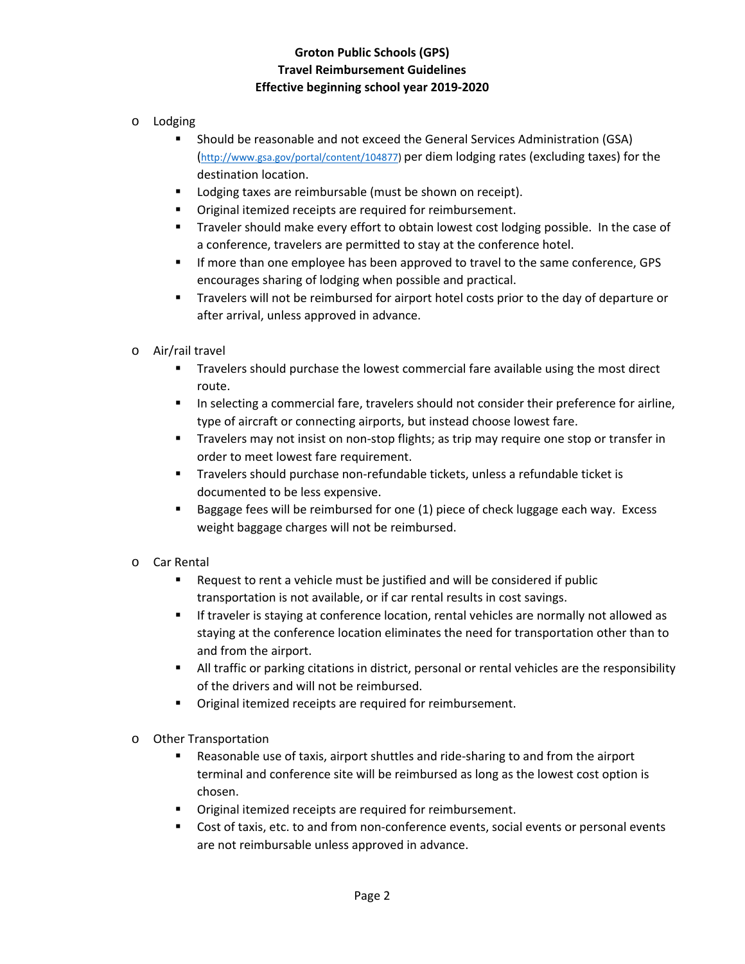# **Groton Public Schools (GPS) Travel Reimbursement Guidelines Effective beginning school year 2019‐2020**

- o Lodging
	- Should be reasonable and not exceed the General Services Administration (GSA) (http://www.gsa.gov/portal/content/104877) per diem lodging rates (excluding taxes) for the destination location.
	- **Lodging taxes are reimbursable (must be shown on receipt).**
	- Original itemized receipts are required for reimbursement.
	- **Traveler should make every effort to obtain lowest cost lodging possible. In the case of** a conference, travelers are permitted to stay at the conference hotel.
	- If more than one employee has been approved to travel to the same conference, GPS encourages sharing of lodging when possible and practical.
	- Travelers will not be reimbursed for airport hotel costs prior to the day of departure or after arrival, unless approved in advance.
- o Air/rail travel
	- Travelers should purchase the lowest commercial fare available using the most direct route.
	- In selecting a commercial fare, travelers should not consider their preference for airline, type of aircraft or connecting airports, but instead choose lowest fare.
	- Travelers may not insist on non-stop flights; as trip may require one stop or transfer in order to meet lowest fare requirement.
	- Travelers should purchase non-refundable tickets, unless a refundable ticket is documented to be less expensive.
	- Baggage fees will be reimbursed for one (1) piece of check luggage each way. Excess weight baggage charges will not be reimbursed.
- o Car Rental
	- Request to rent a vehicle must be justified and will be considered if public transportation is not available, or if car rental results in cost savings.
	- If traveler is staying at conference location, rental vehicles are normally not allowed as staying at the conference location eliminates the need for transportation other than to and from the airport.
	- All traffic or parking citations in district, personal or rental vehicles are the responsibility of the drivers and will not be reimbursed.
	- Original itemized receipts are required for reimbursement.
- o Other Transportation
	- Reasonable use of taxis, airport shuttles and ride‐sharing to and from the airport terminal and conference site will be reimbursed as long as the lowest cost option is chosen.
	- Original itemized receipts are required for reimbursement.
	- Cost of taxis, etc. to and from non-conference events, social events or personal events are not reimbursable unless approved in advance.